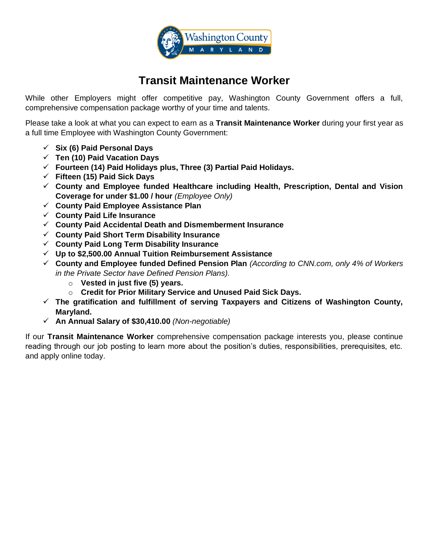

# **Transit Maintenance Worker**

While other Employers might offer competitive pay, Washington County Government offers a full, comprehensive compensation package worthy of your time and talents.

Please take a look at what you can expect to earn as a **Transit Maintenance Worker** during your first year as a full time Employee with Washington County Government:

- ✓ **Six (6) Paid Personal Days**
- ✓ **Ten (10) Paid Vacation Days**
- ✓ **Fourteen (14) Paid Holidays plus, Three (3) Partial Paid Holidays.**
- ✓ **Fifteen (15) Paid Sick Days**
- ✓ **County and Employee funded Healthcare including Health, Prescription, Dental and Vision Coverage for under \$1.00 / hour** *(Employee Only)*
- ✓ **County Paid Employee Assistance Plan**
- ✓ **County Paid Life Insurance**
- ✓ **County Paid Accidental Death and Dismemberment Insurance**
- ✓ **County Paid Short Term Disability Insurance**
- ✓ **County Paid Long Term Disability Insurance**
- ✓ **Up to \$2,500.00 Annual Tuition Reimbursement Assistance**
- ✓ **County and Employee funded Defined Pension Plan** *(According to CNN.com, only 4% of Workers in the Private Sector have Defined Pension Plans).*
	- o **Vested in just five (5) years.**
	- o **Credit for Prior Military Service and Unused Paid Sick Days.**
- ✓ **The gratification and fulfillment of serving Taxpayers and Citizens of Washington County, Maryland.**
- ✓ **An Annual Salary of \$30,410.00** *(Non-negotiable)*

If our **Transit Maintenance Worker** comprehensive compensation package interests you, please continue reading through our job posting to learn more about the position's duties, responsibilities, prerequisites, etc. and apply online today.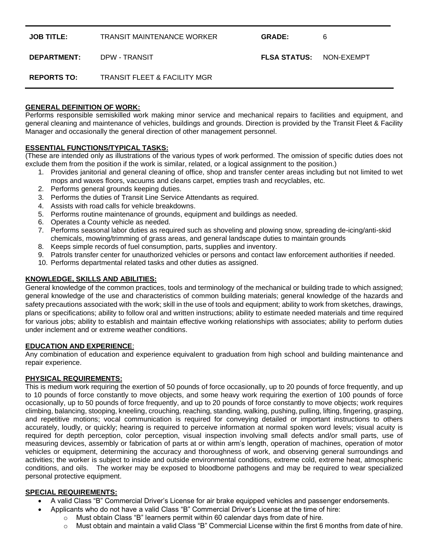**JOB TITLE:** TRANSIT MAINTENANCE WORKER **GRADE:** 6

**DEPARTMENT:** DPW - TRANSIT **FLSA STATUS:** NON-EXEMPT

**REPORTS TO:** TRANSIT FLEET & FACILITY MGR

#### **GENERAL DEFINITION OF WORK:**

Performs responsible semiskilled work making minor service and mechanical repairs to facilities and equipment, and general cleaning and maintenance of vehicles, buildings and grounds. Direction is provided by the Transit Fleet & Facility Manager and occasionally the general direction of other management personnel.

### **ESSENTIAL FUNCTIONS/TYPICAL TASKS:**

(These are intended only as illustrations of the various types of work performed. The omission of specific duties does not exclude them from the position if the work is similar, related, or a logical assignment to the position.)

- 1. Provides janitorial and general cleaning of office, shop and transfer center areas including but not limited to wet mops and waxes floors, vacuums and cleans carpet, empties trash and recyclables, etc.
- 2. Performs general grounds keeping duties.
- 3. Performs the duties of Transit Line Service Attendants as required.
- 4. Assists with road calls for vehicle breakdowns.
- 5. Performs routine maintenance of grounds, equipment and buildings as needed.
- 6. Operates a County vehicle as needed.
- 7. Performs seasonal labor duties as required such as shoveling and plowing snow, spreading de-icing/anti-skid chemicals, mowing/trimming of grass areas, and general landscape duties to maintain grounds
- 8. Keeps simple records of fuel consumption, parts, supplies and inventory.
- 9. Patrols transfer center for unauthorized vehicles or persons and contact law enforcement authorities if needed.
- 10. Performs departmental related tasks and other duties as assigned.

# **KNOWLEDGE, SKILLS AND ABILITIES:**

General knowledge of the common practices, tools and terminology of the mechanical or building trade to which assigned; general knowledge of the use and characteristics of common building materials; general knowledge of the hazards and safety precautions associated with the work; skill in the use of tools and equipment; ability to work from sketches, drawings, plans or specifications; ability to follow oral and written instructions; ability to estimate needed materials and time required for various jobs; ability to establish and maintain effective working relationships with associates; ability to perform duties under inclement and or extreme weather conditions.

#### **EDUCATION AND EXPERIENCE**:

Any combination of education and experience equivalent to graduation from high school and building maintenance and repair experience.

#### **PHYSICAL REQUIREMENTS:**

This is medium work requiring the exertion of 50 pounds of force occasionally, up to 20 pounds of force frequently, and up to 10 pounds of force constantly to move objects, and some heavy work requiring the exertion of 100 pounds of force occasionally, up to 50 pounds of force frequently, and up to 20 pounds of force constantly to move objects; work requires climbing, balancing, stooping, kneeling, crouching, reaching, standing, walking, pushing, pulling, lifting, fingering, grasping, and repetitive motions; vocal communication is required for conveying detailed or important instructions to others accurately, loudly, or quickly; hearing is required to perceive information at normal spoken word levels; visual acuity is required for depth perception, color perception, visual inspection involving small defects and/or small parts, use of measuring devices, assembly or fabrication of parts at or within arm's length, operation of machines, operation of motor vehicles or equipment, determining the accuracy and thoroughness of work, and observing general surroundings and activities; the worker is subject to inside and outside environmental conditions, extreme cold, extreme heat, atmospheric conditions, and oils. The worker may be exposed to bloodborne pathogens and may be required to wear specialized personal protective equipment.

# **SPECIAL REQUIREMENTS:**

- A valid Class "B" Commercial Driver's License for air brake equipped vehicles and passenger endorsements.
	- Applicants who do not have a valid Class "B" Commercial Driver's License at the time of hire:
		- $\circ$  Must obtain Class "B" learners permit within 60 calendar days from date of hire.
		- $\circ$  Must obtain and maintain a valid Class "B" Commercial License within the first 6 months from date of hire.